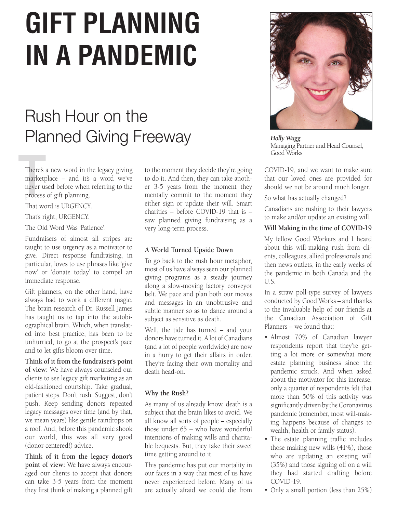# **GIFT PLANNING IN A PANDEMIC**

## Rush Hour on the Planned Giving Freeway

There's<br>
marketp<br>
never us<br>
process There's a new word in the legacy giving marketplace – and it's a word we've never used before when referring to the process of gift planning.

That word is URGENCY.

That's right, URGENCY.

The Old Word Was 'Patience'.

Fundraisers of almost all stripes are taught to use urgency as a motivator to give. Direct response fundraising, in particular, loves to use phrases like 'give now' or 'donate today' to compel an immediate response.

Gift planners, on the other hand, have always had to work a different magic. The brain research of Dr. Russell James has taught us to tap into the autobiographical brain. Which, when translated into best practice, has been to be unhurried, to go at the prospect's pace and to let gifts bloom over time.

**Think of it from the fundraiser's point of view:** We have always counseled our clients to see legacy gift marketing as an old-fashioned courtship. Take gradual, patient steps. Don't rush. Suggest, don't push. Keep sending donors repeated legacy messages over time (and by that, we mean years) like gentle raindrops on a roof. And, before this pandemic shook our world, this was all very good (donor-centered!) advice.

**Think of it from the legacy donor's point of view:** We have always encouraged our clients to accept that donors can take 3-5 years from the moment they first think of making a planned gift

to the moment they decide they're going to do it. And then, they can take another 3-5 years from the moment they mentally commit to the moment they either sign or update their will. Smart charities – before COVID-19 that is – saw planned giving fundraising as a very long-term process.

#### **A World Turned Upside Down**

To go back to the rush hour metaphor, most of us have always seen our planned giving programs as a steady journey along a slow-moving factory conveyor belt. We pace and plan both our moves and messages in an unobtrusive and subtle manner so as to dance around a subject as sensitive as death.

Well, the tide has turned – and your donors have turned it. A lot of Canadians (and a lot of people worldwide) are now in a hurry to get their affairs in order. They're facing their own mortality and death head-on.

### **Why the Rush?**

As many of us already know, death is a subject that the brain likes to avoid. We all know all sorts of people – especially those under 65 – who have wonderful intentions of making wills and charitable bequests. But, they take their sweet time getting around to it.

This pandemic has put our mortality in our faces in a way that most of us have never experienced before. Many of us are actually afraid we could die from



*Holly Wagg* Managing Partner and Head Counsel, Good Works

COVID-19, and we want to make sure that our loved ones are provided for should we not be around much longer.

So what has actually changed?

Canadians are rushing to their lawyers to make and/or update an existing will.

#### **Will Making in the time of COVID-19**

My fellow Good Workers and I heard about this will-making rush from clients, colleagues, allied professionals and then news outlets, in the early weeks of the pandemic in both Canada and the U.S.

In a straw poll-type survey of lawyers conducted by Good Works – and thanks to the invaluable help of our friends at the Canadian Association of Gift Planners – we found that:

- Almost 70% of Canadian lawyer respondents report that they're getting a lot more or somewhat more estate planning business since the pandemic struck. And when asked about the motivator for this increase, only a quarter of respondents felt that more than 50% of this activity was significantly driven by the Coronavirus pandemic (remember, most will-making happens because of changes to wealth, health or family status).
- The estate planning traffic includes those making new wills (41%), those who are updating an existing will (35%) and those signing off on a will they had started drafting before COVID-19.
- Only a small portion (less than 25%)